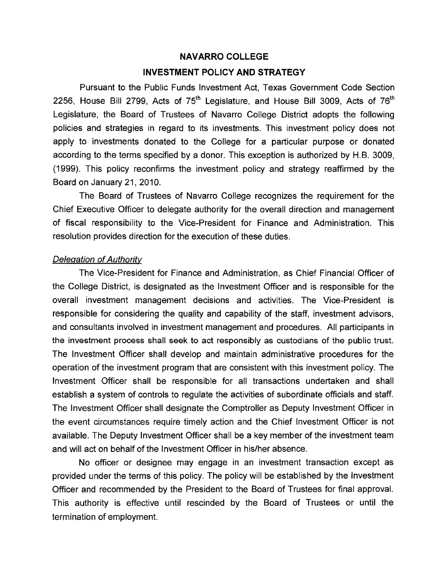## **NAVARRO COLLEGE**

## **INVESTMENT POLICY AND STRATEGY**

Pursuant to the Public Funds Investment Act, Texas Government Code Section 2256, House Bill 2799, Acts of  $75<sup>th</sup>$  Legislature, and House Bill 3009, Acts of  $76<sup>th</sup>$ Legislature, the Board of Trustees of Navarro College District adopts the following policies and strategies in regard to its investments. This investment policy does not apply to investments donated to the College for a particular purpose or donated according to the terms specified by a donor. This exception is authorized by H.B. 3009, (1999). This policy reconfirms the investment policy and strategy reaffirmed by the Board on January 21, 2010.

The Board of Trustees of Navarro College recognizes the requirement for the Chief Executive Officer to delegate authority for the overall direction and management of fiscal responsibility to the Vice-President for Finance and Administration. This resolution provides direction for the execution of these duties.

# Delegation of Authority

The Vice-President for Finance and Administration, as Chief Financial Officer of the College District, is designated as the Investment Officer and is responsible for the overall investment management decisions and activities. The Vice-President is responsible for considering the quality and capability of the staff, investment advisors, and consultants involved in investment management and procedures. All participants in the investment process shall seek to act responsibly as custodians of the public trust. The Investment Officer shall develop and maintain administrative procedures for the operation of the investment program that are consistent with this investment policy. The Investment Officer shall be responsible for all transactions undertaken and shall establish a system of controls to regulate the activities of subordinate officials and staff. The Investment Officer shall designate the Comptroller as Deputy Investment Officer in the event circumstances require timely action and the Chief Investment Officer is not available. The Deputy Investment Officer shall be a key member of the investment team and will act on behalf of the Investment Officer in his/her absence.

No officer or designee may engage in an investment transaction except as provided under the terms of this policy. The policy will be established by the Investment Officer and recommended by the President to the Board of Trustees for final approval. This authority is effective until rescinded by the Board of Trustees or until the termination of employment.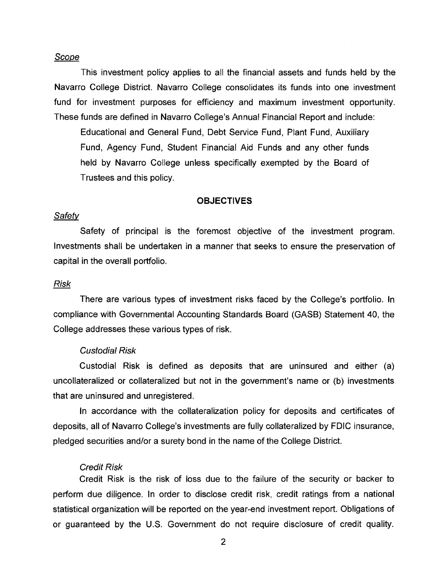# Scope

This investment policy applies to all the financial assets and funds held by the Navarro College District. Navarro College consolidates its funds into one investment fund for investment purposes for efficiency and maximum investment opportunity. These funds are defined in Navarro College's Annual Financial Report and include:

Educational and General Fund, Debt Service Fund, Plant Fund, Auxiliary Fund, Agency Fund, Student Financial Aid Funds and any other funds held by Navarro College unless specifically exempted by the Board of Trustees and this policy.

# **OBJECTIVES**

#### **Safety**

Safety of principal is the foremost objective of the investment program. Investments shall be undertaken in a manner that seeks to ensure the preservation of capital in the overall portfolio.

#### **Risk**

There are various types of investment risks faced by the College's portfolio. In compliance with Governmental Accounting Standards Board (GASB) Statement 40, the College addresses these various types of risk.

#### Custodial Risk

Custodial Risk is defined as deposits that are uninsured and either (a) uncollateralized or collateralized but not in the government's name or (b) investments that are uninsured and unregistered.

In accordance with the collateralization policy for deposits and certificates of deposits, all of Navarro College's investments are fully collateralized by FDIC insurance, pledged securities and/or a surety bond in the name of the College District.

#### Credit Risk

Credit Risk is the risk of loss due to the failure of the security or backer to perform due diligence. In order to disclose credit risk, credit ratings from a national statistical organization will be reported on the year-end investment report. Obligations of or guaranteed by the U.S. Government do not require disclosure of credit quality.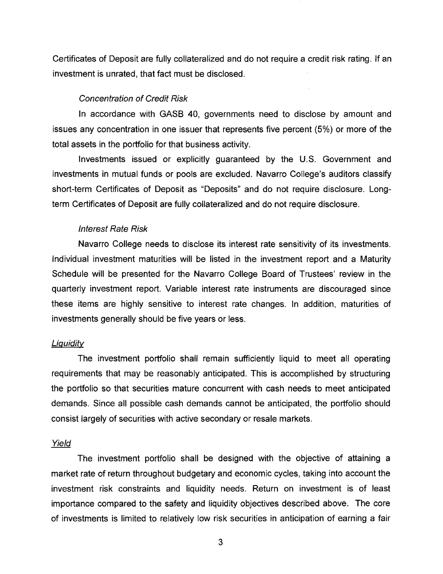Certificates of Deposit are fully collateralized and do not require a credit risk rating. If an investment is unrated, that fact must be disclosed.

#### Concentration of Credit Risk

In accordance with GASB 40, governments need to disclose by amount and issues any concentration in one issuer that represents five percent (5%) or more of the total assets in the portfolio for that business activity.

Investments issued or explicitly guaranteed by the U.S. Government and investments in mutual funds or pools are excluded. Navarro College's auditors classify short-term Certificates of Deposit as "Deposits" and do not require disclosure. Longterm Certificates of Deposit are fully collateralized and do not require disclosure.

#### Interest Rate Risk

Navarro College needs to disclose its interest rate sensitivity of its investments. Individual investment maturities will be listed in the investment report and a Maturity Schedule will be presented for the Navarro College Board of Trustees' review in the quarterly investment report. Variable interest rate instruments are discouraged since these items are highly sensitive to interest rate changes. In addition, maturities of investments generally should be five years or less.

## **Liquidity**

The investment portfolio shall remain sufficiently liquid to meet all operating requirements that may be reasonably anticipated. This is accomplished by structuring the portfolio so that securities mature concurrent with cash needs to meet anticipated demands. Since all possible cash demands cannot be anticipated, the portfolio should consist largely of securities with active secondary or resale markets.

#### Yield

The investment portfolio shall be designed with the objective of attaining a market rate of return throughout budgetary and economic cycles, taking into account the investment risk constraints and liquidity needs. Return on investment is of least importance compared to the safety and liquidity objectives described above. The core of investments is limited to relatively low risk securities in anticipation of earning a fair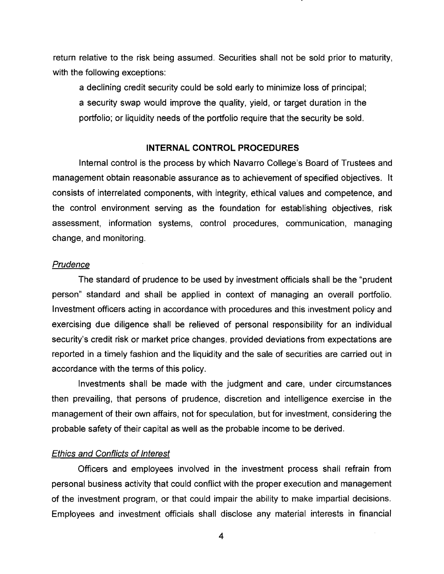return relative to the risk being assumed. Securities shall not be sold prior to maturity, with the following exceptions:

a declining credit security could be sold early to minimize loss of principal; a security swap would improve the quality, yield, or target duration in the portfolio; or liquidity needs of the portfolio require that the security be sold.

# **INTERNAL CONTROL PROCEDURES**

Internal control is the process by which Navarro College's Board of Trustees and management obtain reasonable assurance as to achievement of specified objectives. It consists of interrelated components, with integrity, ethical values and competence, and the control environment serving as the foundation for establishing objectives, risk assessment, information systems, control procedures, communication, managing change, and monitoring.

# **Prudence**

The standard of prudence to be used by investment officials shall be the "prudent person" standard and shall be applied in context of managing an overall portfolio. Investment officers acting in accordance with procedures and this investment policy and exercising due diligence shall be relieved of personal responsibility for an individual security's credit risk or market price changes, provided deviations from expectations are reported in a timely fashion and the liquidity and the sale of securities are carried out in accordance with the terms of this policy.

Investments shall be made with the judgment and care, under circumstances then prevailing, that persons of prudence, discretion and intelligence exercise in the management of their own affairs, not for speculation, but for investment, considering the probable safety of their capital as well as the probable income to be derived.

#### Ethics and Conflicts of Interest

Officers and employees involved in the investment process shall refrain from personal business activity that could conflict with the proper execution and management of the investment program, or that could impair the ability to make impartial decisions. Employees and investment officials shall disclose any material interests in financial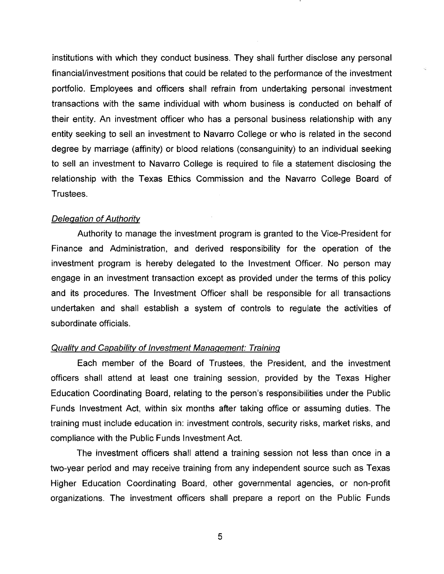institutions with which they conduct business. They shall further disclose any personal financial/investment positions that could be related to the performance of the investment portfolio. Employees and officers shall refrain from undertaking personal investment transactions with the same individual with whom business is conducted on behalf of their entity. An investment officer who has a personal business relationship with any entity seeking to sell an investment to Navarro College or who is related in the second degree by marriage (affinity) or blood relations (consanguinity) to an individual seeking to sell an investment to Navarro College is required to file a statement disclosing the relationship with the Texas Ethics Commission and the Navarro College Board of Trustees.

## Delegation of Authority

Authority to manage the investment program is granted to the Vice-President for Finance and Administration, and derived responsibility for the operation of the investment program is hereby delegated to the Investment Officer. No person may engage in an investment transaction except as provided under the terms of this policy and its procedures. The Investment Officer shall be responsible for all transactions undertaken and shall establish a system of controls to regulate the activities of subordinate officials.

#### Quality and Capability of Investment Management: Training

Each member of the Board of Trustees, the President, and the investment officers shall attend at least one training session, provided by the Texas Higher Education Coordinating Board, relating to the person's responsibilities under the Public Funds Investment Act, within six months after taking office or assuming duties. The training must include education in: investment controls, security risks, market risks, and compliance with the Public Funds Investment Act.

The investment officers shall attend a training session not less than once in a two-year period and may receive training from any independent source such as Texas Higher Education Coordinating Board, other governmental agencies, or non-profit organizations. The investment officers shall prepare a report on the Public Funds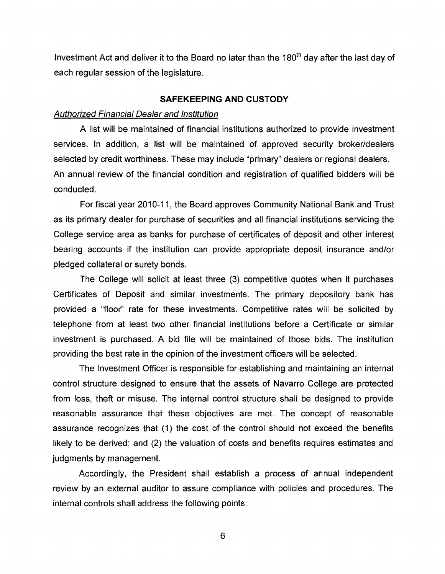Investment Act and deliver it to the Board no later than the 180<sup>th</sup> day after the last day of each regular session of the legislature.

# **SAFEKEEPING AND CUSTODY**

#### Authorized Financial Dealer and Institution

A list will be maintained of financial institutions authorized to provide investment services. In addition, a list will be maintained of approved security broker/dealers selected by credit worthiness. These may include "primary" dealers or regional dealers. An annual review of the financial condition and registration of qualified bidders will be conducted.

For fiscal year 2010-11, the Board approves Community National Bank and Trust as its primary dealer for purchase of securities and all financial institutions servicing the College service area as banks for purchase of certificates of deposit and other interest bearing accounts if the institution can provide appropriate deposit insurance and/or pledged collateral or surety bonds.

The College will solicit at least three (3) competitive quotes when it purchases Certificates of Deposit and similar investments. The primary depository bank has provided a "floor" rate for these investments. Competitive rates will be solicited by telephone from at least two other financial institutions before a Certificate or similar investment is purchased. A bid file will be maintained of those bids. The institution providing the best rate in the opinion of the investment officers will be selected.

The Investment Officer is responsible for establishing and maintaining an internal control structure desjgned to ensure that the assets of Navarro College are protected from loss, theft or misuse. The internal control structure shall be designed to provide reasonable assurance that these objectives are met. The concept of reasonable assurance recognizes that (1) the cost of the control should not exceed the benefits likely to be derived; and (2) the valuation of costs and benefits requires estimates and judgments by management.

Accordingly, the President shall establish a process of annual independent review by an external auditor to assure compliance with policies and procedures. The internal controls shall address the following points: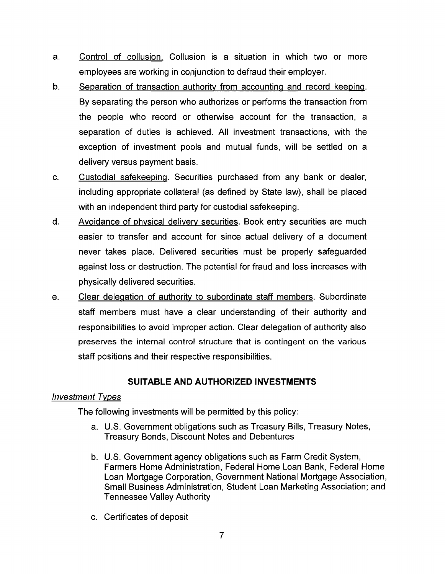- a. Control of collusion. Collusion is a situation in which two or more employees are working in conjunction to defraud their employer.
- b. Separation of transaction authority from accounting and record keeping. By separating the person who authorizes or performs the transaction from the people who record or otherwise account for the transaction, a separation of duties is achieved. All investment transactions, with the exception of investment pools and mutual funds, will be settled on a delivery versus payment basis.
- c. Custodial safekeeping. Securities purchased from any bank or dealer, including appropriate collateral (as defined by State law), shall be placed with an independent third party for custodial safekeeping.
- d. Avoidance of physical delivery securities. Book entry securities are much easier to transfer and account for since actual delivery of a document never takes place. Delivered securities must be properly safeguarded against loss or destruction. The potential for fraud and loss increases with physically delivered securities.
- e. Clear delegation of authority to subordinate staff members. Subordinate staff members must have a clear understanding of their authority and responsibilities to avoid improper action. Clear delegation of authority also preserves the internal control structure that is contingent on the various staff positions and their respective responsibilities.

# **SUITABLE AND AUTHORIZED INVESTMENTS**

# Investment Types

The following investments will be permitted by this policy:

- a. U.S. Government obligations such as Treasury Bills, Treasury Notes, Treasury Bonds, Discount Notes and Debentures
- b. U.S. Government agency obligations such as Farm Credit System, Farmers Home Administration, Federal Home Loan Bank, Federal Home Loan Mortgage Corporation, Government National Mortgage Association, Small Business Administration, Student Loan Marketing Association; and Tennessee Valley Authority
- c. Certificates of deposit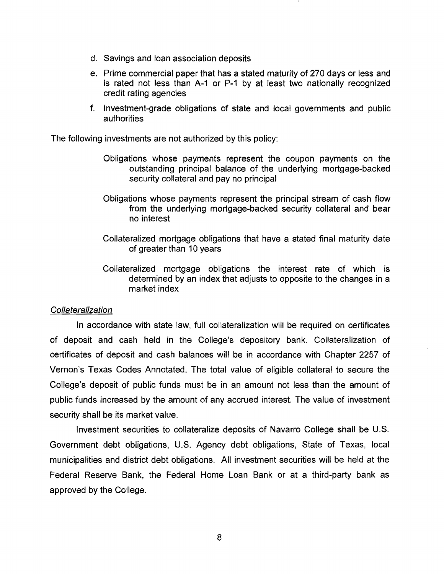- d. Savings and loan association deposits
- e. Prime commercial paper that has a stated maturity of 270 days or less and is rated not less than A-1 or P-1 by at least two nationally recognized credit rating agencies
- f. Investment-grade obligations of state and local governments and public authorities

The following investments are not authorized by this policy:

- Obligations whose payments represent the coupon payments on the outstanding principal balance of the underlying mortgage-backed security collateral and pay no principal
- Obligations whose payments represent the principal stream of cash flow from the underlying mortgage-backed security collateral and bear no interest
- Collateralized mortgage obligations that have a stated final maturity date of greater than 10 years
- Collateralized mortgage obligations the interest rate of which is determined by an index that adjusts to opposite to the changes in a market index

#### **Collateralization**

**In** accordance with state law, full collateralization will be required on certificates of deposit and cash held in the College's depository bank. Collateralization of certificates of deposit and cash balances will be in accordance with Chapter 2257 of Vernon's Texas Codes Annotated. The total value of eligible collateral to secure the College's deposit of public funds must be in an amount not less than the amount of public funds increased by the amount of any accrued interest. The value of investment security shall be its market value.

Investment securities to collateralize deposits of Navarro College shall be U.S. Government debt obligations, U.S. Agency debt obligations, State of Texas, local municipalities and district debt obligations. All investment securities will be held at the Federal Reserve Bank, the Federal Home Loan Bank or at a third-party bank as approved by the College.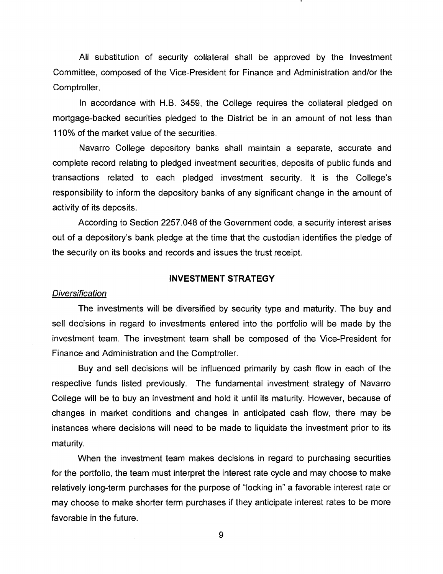All substitution of security collateral shall be approved by the Investment Committee, composed of the Vice-President for Finance and Administration and/or the Comptroller.

In accordance with H.B. 3459, the College requires the collateral pledged on mortgage-backed securities pledged to the District be in an amount of not less than 110% of the market value of the securities.

Navarro College depository banks shall maintain a separate, accurate and complete record relating to pledged investment securities, deposits of public funds and transactions related to each pledged investment security. It is the College's responsibility to inform the depository banks of any significant change in the amount of activity of its deposits.

According to Section 2257.048 of the Government code, a security interest arises out of a depository's bank pledge at the time that the custodian identifies the pledge of the security on its books and records and issues the trust receipt.

# **INVESTMENT STRATEGY**

#### **Diversification**

The investments will be diversified by security type and maturity. The buy and sell decisions in regard to investments entered into the portfolio will be made by the investment team. The investment team shall be composed of the Vice-President for Finance and Administration and the Comptroller.

Buy and sell decisions will be influenced primarily by cash flow in each of the respective funds listed previously. The fundamental investment strategy of Navarro College will be to buy an investment and hold it until its maturity. However, because of changes in market conditions and changes in anticipated cash flow, there may be instances where decisions will need to be made to liquidate the investment prior to its maturity.

When the investment team makes decisions in regard to purchasing securities for the portfolio, the team must interpret the interest rate cycle and may choose to make relatively long-term purchases for the purpose of "locking in" a favorable interest rate or may choose to make shorter term purchases if they anticipate interest rates to be more favorable in the future.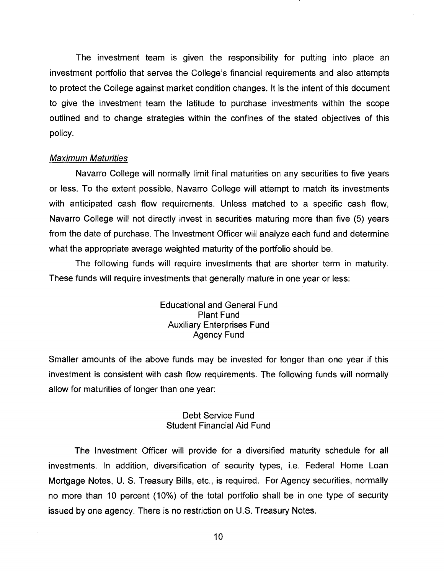The investment team is given the responsibility for putting into place an investment portfolio that serves the College's financial requirements and also attempts to protect the College against market condition changes. It is the intent of this document to give the investment team the latitude to purchase investments within the scope outlined and to change strategies within the confines of the stated objectives of this policy.

## Maximum Maturities

Navarro College will normally limit final maturities on any securities to five years or less. To the extent possible, Navarro College will attempt to match its investments with anticipated cash flow requirements. Unless matched to a specific cash flow, Navarro College will not directly invest in securities maturing more than five (5) years from the date of purchase. The Investment Officer will analyze each fund and determine what the appropriate average weighted maturity of the portfolio should be.

The following funds will require investments that are shorter term in maturity. These funds will require investments that generally mature in one year or less:

> Educational and General Fund Plant Fund Auxiliary Enterprises Fund Agency Fund

Smaller amounts of the above funds may be invested for longer than one year if this investment is consistent with cash flow requirements. The following funds will normally allow for maturities of longer than one year:

# Debt Service Fund Student Financial Aid Fund

The Investment Officer will provide for a diversified maturity schedule for all investments. In addition, diversification of security types, i.e. Federal Home Loan Mortgage Notes, U. S. Treasury Bills, etc., is required. For Agency securities, normally no more than 10 percent (10%) of the total portfolio shall be in one type of security issued by one agency. There is no restriction on U.S. Treasury Notes.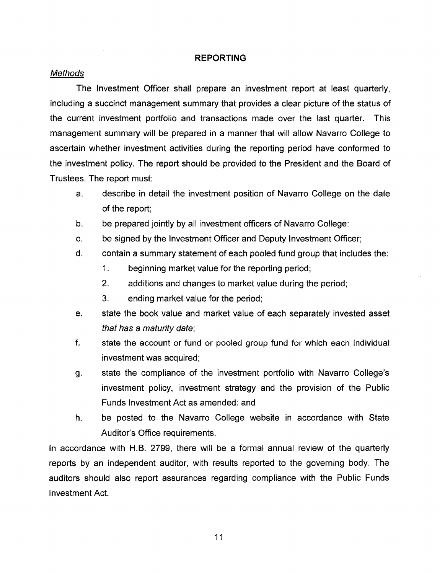# **REPORTING**

# **Methods**

The Investment Officer shall prepare an investment report at least quarterly, including a succinct management summary that provides a clear picture of the status of the current investment portfolio and transactions made over the last quarter. This management summary will be prepared in a manner that will allow Navarro College to ascertain whether investment activities during the reporting period have conformed to the investment policy. The report should be provided to the President and the Board of Trustees. The report must:

- a. describe in detail the investment position of Navarro College on the date of the report;
- b. be prepared jointly by all investment officers of Navarro College;
- c. be signed by the Investment Officer and Deputy Investment Officer;
- d. contain a summary statement of each pooled fund group that includes the:
	- 1. beginning market value for the reporting period;
	- 2. additions and changes to market value during the period;
	- 3. ending market value for the period;
- e. state the book value and market value of each separately invested asset that has a maturity date;
- f. state the account or fund or pooled group fund for which each individual investment was acquired;
- g. state the compliance of the investment portfolio with Navarro College's investment policy, investment strategy and the provision of the Public Funds Investment Act as amended: and
- h. be posted to the Navarro College website in accordance with State Auditor's Office requirements.

**In** accordance with H.B. 2799, there will be a formal annual review of the quarterly reports by an independent auditor, with results reported to the governing body. The auditors should also report assurances regarding compliance with the Public Funds Investment Act.